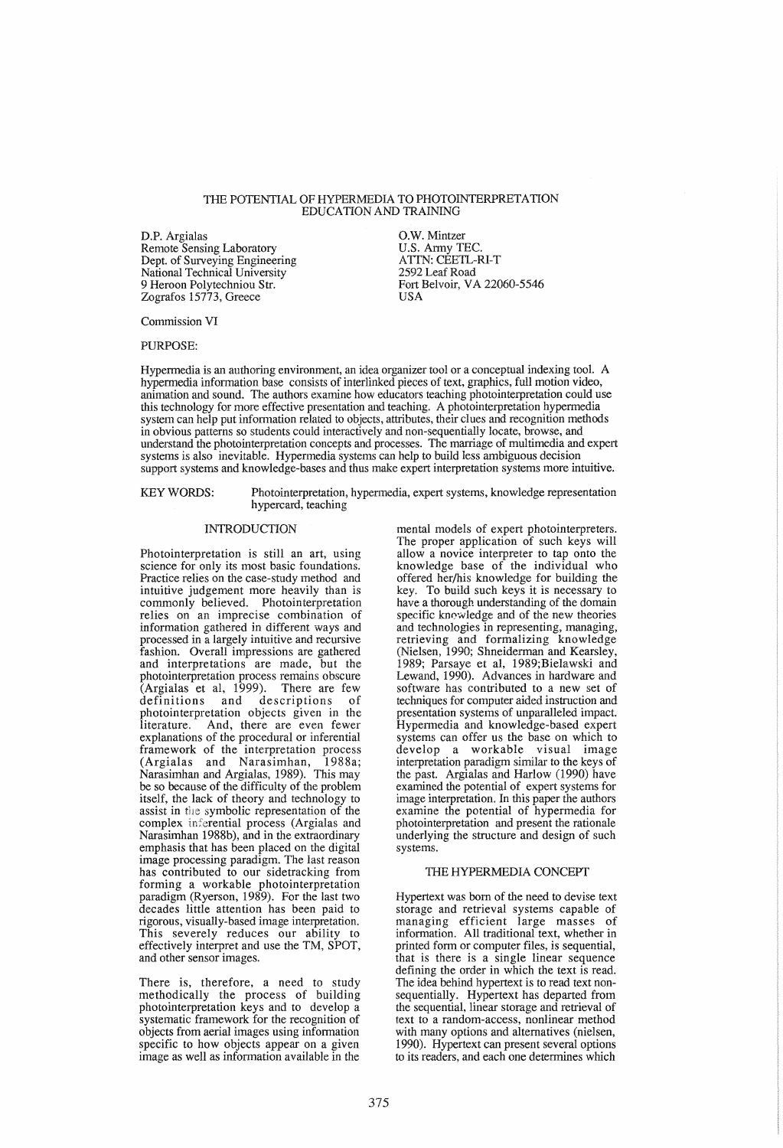#### THE POTENTIAL OF HYPERMEDIA TO PHOTOINTERPRETA TION EDUCATION AND TRAINING

D.P. Argialas Remote Sensing Laboratory Dept. of Surveying Engineering National Technical University 9 Heroon Polytechniou Str. Zografos 15773, Greece

O.W. Mintzer U.S. Army TEC. ATTN: CEETL-RI-T 2592 Leaf Road Fort Belvoir, VA 22060-5546 USA

Commission VI

PURPOSE:

Hypennedia is an authoring environment, an idea organizer tool or a conceptual indexing tool. A hypennedia information base consists of interlinked pieces of text, graphics, full motion video, animation and sound. The authors examine how educators teaching photointerpretation could use this technology for more effective presentation and teaching. A photointerpretation hypennedia system can help put infonnation related to objects, attributes, their clues and recognition methods in obvious patterns so students could interactively and non-sequentially locate, browse, and understand the photointerpretation concepts and processes. The marriage of multimedia and expert systems is also inevitable. Hypermedia systems can help to build less ambiguous decision support systems and knowledge-bases and thus make expert interpretation systems more intuitive.

KEYWORDS: Photointerpretation, hypermedia, expert systems, knowledge representation hypercard, teaching

# INTRODUCTION

Photointerpretation is still an art, using science for only its most basic foundations. Practice relies on the case-study method and intuitive judgement more heavily than is commonly believed. Photointerpretation relies on an imprecise combination of information gathered in different ways and processed in a largely intuitive and recursive fashion. Overall impressions are gathered and interpretations are made, but the photointerpretation process remains obscure (Argialas et aI, 1999). There are few definitions and descriptions of photointerpretation objects given in the<br>literature. And, there are even fewer And, there are even fewer explanations of the procedural or inferential framework of the interpretation process (Argialas and Narasimhan, 1988a; Narasimhan and Argialas, 1989). This may be so because of the difficulty of the problem itself, the lack of theory and technology to assist in the symbolic representation of the complex inferential process (Argialas and Narasimhan 1988b), and in the extraordinary emphasis that has been placed on the digital image processing paradigm. The last reason has contributed to our sidetracking from forming a workable photointerpretation paradigm (Ryerson, 1989). For the last two decades little attention has been paid to rigorous, visually-based image interpretation. This severely reduces our ability to effectively interpret and use the TM, SPOT, and other sensor images.

There is, therefore, a need to study methodically the process of building photointerpretation keys and to develop a systematic framework for the recognition of objects from aerial images using infonnation specific to how objects appear on a given image as well as information available in the

mental models of expert photointerpreters. The proper application of such keys will allow a novice interpreter to tap onto the knowledge base of the individual who offered her/his knowledge for building the key. To build such keys it is necessary to have a thorough understanding of the domain specific knowledge and of the new theories and technologies in representing, managing, retrieving and formalizing knowledge (Nielsen, 1990; Shneiderman and Kearsley, 1989; Parsaye et al, 1989;Bielawski and Lewand, 1990). Advances in hardware and software has contributed to a new set of techniques for computer aided instruction and presentation systems of unparalleled impact. Hypennedia and knowledge-based expert systems can offer us the base on which to develop a workable visual image interpretation paradigm similar to the keys of the past. Argialas and Harlow (1990) have examined the potential of expert systems for image interpretation. In this paper the authors examine the potential of hypermedia for photointerpretation and present the rationale underlying the structure and design of such systems.

### THE HYPERMEDIA CONCEPT

Hypertext was born of the need to devise text storage and retrieval systems capable of managing efficient large masses of information. All traditional text, whether in printed fonn or computer files, is sequential, that is there is a single linear sequence defining the order in which the text is read. The idea behind hypertext is to read text nonsequentially. Hypertext has departed from the sequential, linear storage and retrieval of text to a random-access, nonlinear method with many options and alternatives (nielsen, 1990). Hypertext can present several options to its readers, and each one detennines which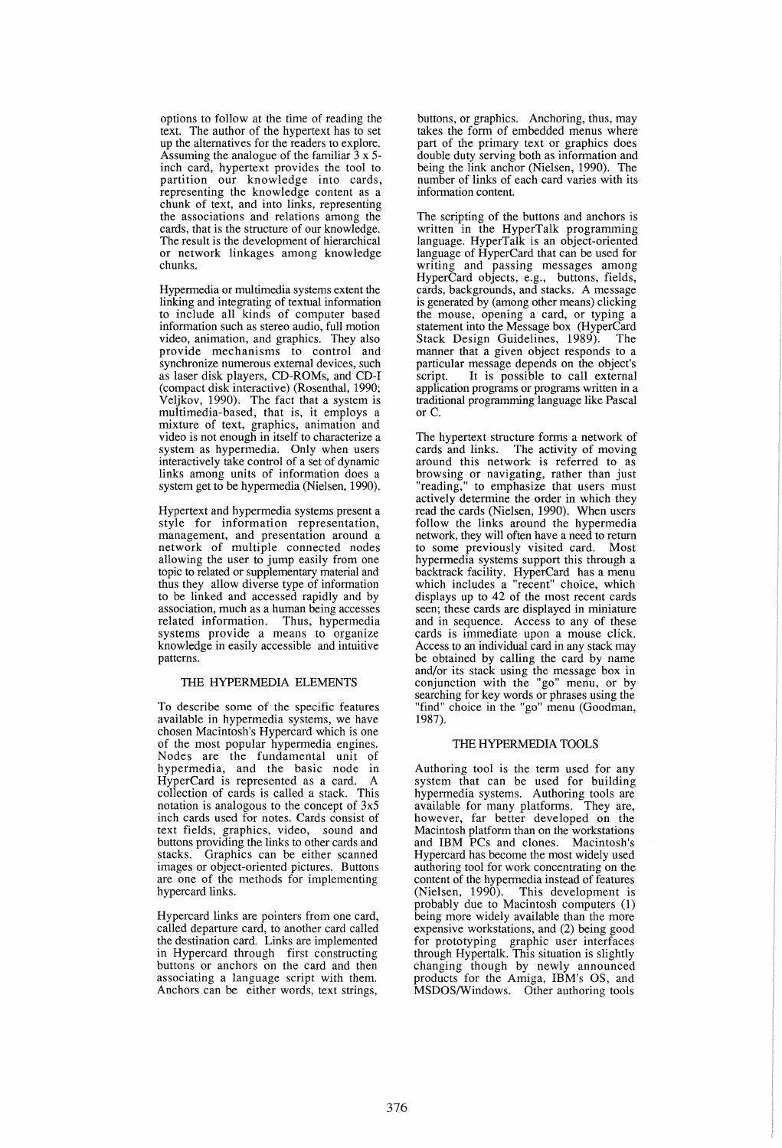options to follow at the time of reading the text. The author of the hypertext has to set up the alternatives for the readers to explore. Assuming the analogue of the familiar  $3 \times 5$ inch card, hypertext provides the tool to partition our knowledge into cards, representing the knowledge content as a chunk of text, and into links, representing the associations and relations among the cards, that is the structure of our knowledge. The result is the development of hierarchical or network linkages among knowledge chunks.

Hypermedia or multimedia systems extent the linking and integrating of textual information to include all kinds of computer based information such as stereo audio, full motion video, animation, and graphics. They also provide mechanisms to control and synchronize numerous external devices, such as laser disk players, CD-ROMs, and CD-I (compact disk interactive) (Rosenthal, 1990; Veljkov, 1990). The fact that a system is multimedia-based, that is, it employs a mixture of text, graphics, animation and video is not enough in itself to characterize a system as hypermedia. Only when users interactively take control of a set of dynamic links among units of information does a system get to be hypermedia (Nielsen, 1990).

Hypertext and hypermedia systems present a style for information representation, management, and presentation around a network of multiple connected nodes allowing the user to jump easily from one topic to related or supplementary material and thus they allow diverse type of information to be linked and accessed rapidly and by association, much as a human being accesses related information. Thus, hypermedia systems provide a means to organize knowledge in easily accessible and intuitive patterns.

# THE HYPERMEDIA ELEMENTS

To describe some of the specific features available in hypermedia systems, we have chosen Macintosh's Hypercard which is one of the most popular hypermedia engines. Nodes are the fundamental unit of hypermedia, and the basic node in HyperCard is represented as a card. A collection of cards is called a stack. This notation is analogous to the concept of 3x5 inch cards used for notes. Cards consist of text fields, graphics, video, sound and buttons providing the links to other cards and stacks. Graphics can be either scanned images or object-oriented pictures. Buttons are one of the methods for implementing hypercard links.

Hypercard links are pointers from one card, called departure card, to another card called the destination card. Links are implemented in Hypercard through first constructing buttons or anchors on the card and then associating a language script with them. Anchors can be either words, text strings,

buttons, or graphics. Anchoring, thus, may takes the form of embedded menus where part of the primary text or graphics does double duty serving both as information and being the link anchor (Nielsen, 1990). The number of links of each card varies with its information content.

The scripting of the buttons and anchors is written in the HyperTalk programming language. HyperTalk is an object-oriented language of HyperCard that can be used for writing and passing messages among HyperCard objects, e.g., buttons, fields, cards, backgrounds, and stacks. A message is generated by (among other means) clicking the mouse, opening a card, or typing a statement into the Message box (HyperCard Stack Design Guidelines, 1989). The manner that a given object responds to a particular message depends on the object's script. It is possible to call external application programs or programs written in a traditional programming language like Pascal or C.

The hypertext structure forms a network of cards and links. The activity of moving The activity of moving. around this network is referred to as browsing or navigating, rather than just "reading," to emphasize that users must actively determine the order in which they read the cards (Nielsen, 1990). When users follow the links around the hypermedia network, they will often have a need to return to some previously visited card. Most hypermedia systems support this through a backtrack facility. HyperCard has a menu which includes a "recent" choice, which displays up to 42 of the most recent cards seen; these cards are displayed in miniature and in sequence. Access to any of these cards is immediate upon a mouse click. Access to an individual card in any stack may be obtained by calling the card by name and/or its stack using the message box in conjunction with the "go" menu, or by searching for key words or phrases using the "find" choice in the "go" menu (Goodman, 1987).

# THE HYPERMEDIA TOOLS

Authoring tool is the term used for any system that can be used for building hypermedia systems. Authoring tools are available for many platforms. They are, however, far better developed on the Macintosh platform than on the workstations and IBM PCs and clones. Macintosh's Hypercard has become the most widely used authoring tool for work concentrating on the content of the hypermedia instead of features (Nielsen, 1990). This development is probably due to Macintosh computers (1) being more widely available than the more expensive workstations, and (2) being good for prototyping graphic user interfaces through Hypertalk. This situation is slightly changing though by newly announced products for the Amiga, IBM's OS, and MSDOS/Windows. Other authoring tools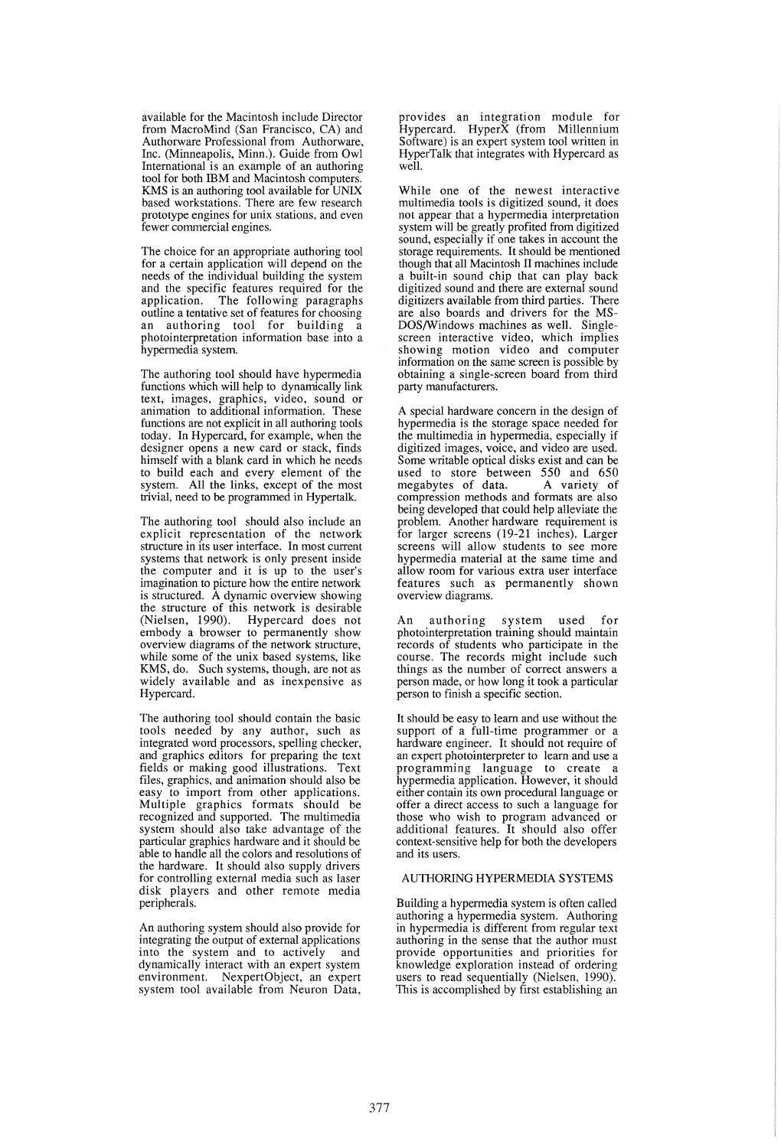available for the Macintosh include Director from MacroMind (San Francisco, CA) and Authorware Professional from Authorware, Inc. (Minneapolis, Minn.). Guide from Owl International is an example of an authoring tool for both IBM and Macintosh computers. KMS is an authoring tool available for UNIX based workstations. There are few research prototype engines for unix stations, and even fewer commercial engines.

The choice for an appropriate authoring tool for a certain application will depend on the needs of the individual building the system and the specific features required for the application. The following paragraphs outline a tentative set of features for choosing an authoring tool for building a photointerpretation information base into a hypermedia system.

The authoring tool should have hypermedia functions which will help to dynamically link text, images, graphics, video, sound or animation to additional information. These functions are not explicit in all authoring tools today. In Hypercard, for example, when the designer opens a new card or stack, finds himself with a blank card in which he needs to build each and every element of the system. All the links, except of the most trivial, need to be programmed in Hypertalk.

The authoring tool should also include an explicit representation of the network structure in its user interface. In most current systems that network is only present inside the computer and it is up to the user's imagination to picture how the entire network is structured. A dynamic overview showing the structure of this network is desirable (Nielsen, 1990). Hypercard does not embody a browser to permanently show overview diagrams of the network structure, while some of the unix based systems, like KMS, do. Such systems, though, are not as widely available and as inexpensive as Hypercard.

The authoring tool should contain the basic tools needed by any author, such as integrated word processors, spelling checker, and graphics editors for preparing the text fields or making good illustrations. Text files, graphics, and animation should also be easy to import from other applications. Multiple graphics formats should be recognized and supported. The multimedia system should also take advantage of the particular graphics hardware and it should be able to handle all the colors and resolutions of the hardware. It should also supply drivers for controlling external media such as laser disk players and other remote media peripherals.

An authoring system should also provide for integrating the output of external applications into the system and to actively and dynamically interact with an expert system environment. NexpertObject, an expert system tool available from Neuron Data, provides an integration module for Hypercard. HyperX (from Millennium Software) is an expert system tool written in HyperTalk that integrates with Hypercard as well.

While one of the newest interactive multimedia tools is digitized sound, it does not appear that a hypermedia interpretation system will be greatly profited from digitized sound, especially if one takes in account the storage requirements. It should be mentioned though that all Macintosh II machines include a built-in sound chip that can play back digitized sound and there are external sound digitizers available from third parties. There are also boards and drivers for the MS-DOS/Windows machines as well. Singlescreen interactive video, which implies showing motion video and computer information on the same screen is possible by obtaining a single-screen board from third party manufacturers.

A special hardware concern in the design of hypermedia is the storage space needed for the multimedia in hypermedia, especially if digitized images, voice, and video are used. Some writable optical disks exist and can be used to store between 550 and 650 megabytes of data. A variety of compression methods and formats are also being developed that could help alleviate the problem. Another hardware requirement is for larger screens (19-21 inches). Larger screens will allow students to see more hypermedia material at the same time and allow room for various extra user interface features such as permanently shown overview diagrams.

An authoring system used for photointerpretation training should maintain records of students who participate in the course. The records might include such things as the number of correct answers a person made, or how long it took a particular person to finish a specific section.

It should be easy to learn and use without the support of a full-time programmer or a hardware engineer. It should not require of an expert photointerpreter to learn and use a programming language to create a hypermedia application. However, it should either contain its own procedural language or offer a direct access to such a language for those who wish to program advanced or additional features. It should also offer context-sensitive help for both the developers and its users.

### AUTHORING HYPERMEDIA SYSTEMS

Building a hypermedia system is often called authoring a hypermedia system. Authoring in hypermedia is different from regular text authoring in the sense that the author must provide opportunities and priorities for knowledge exploration instead of ordering users to read sequentially (Nielsen, 1990). This is accomplished by first establishing an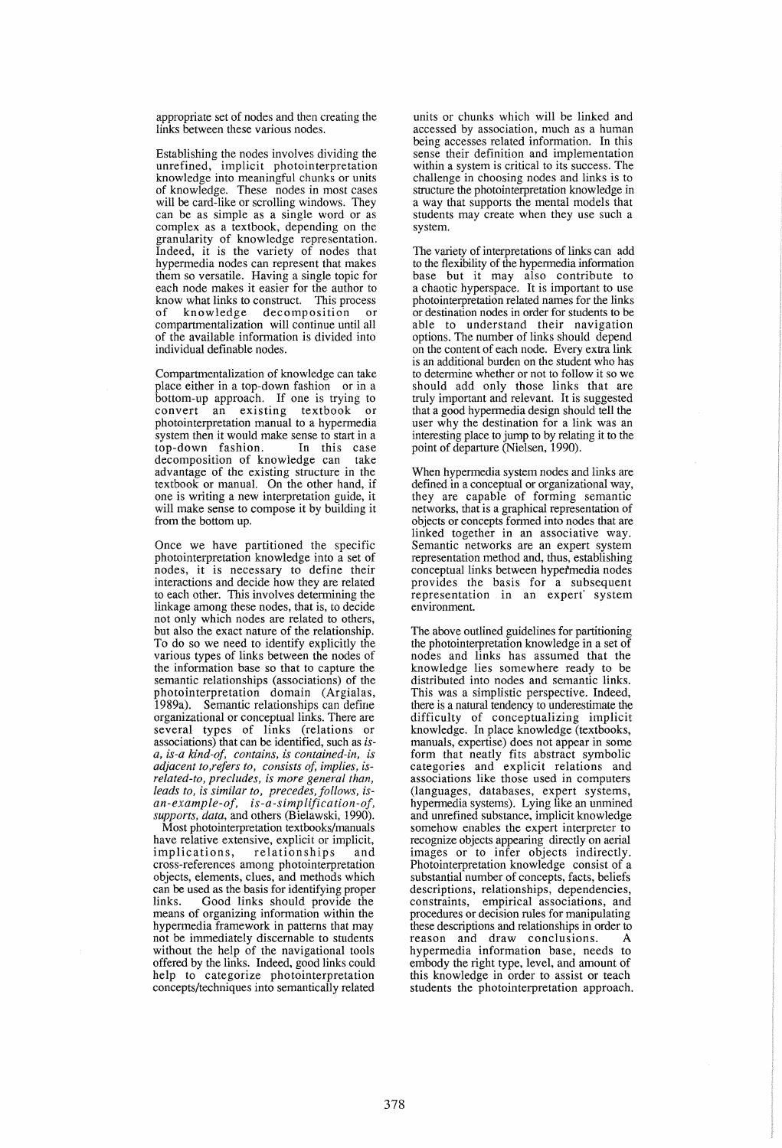appropriate set of nodes and then creating the links between these various nodes.

Establishing the nodes involves dividing the unrefined, implicit photointerpretation knowledge into meaningful chunks or units of knowledge. These nodes in most cases will be card-like or scrolling windows. They can be as simple as a single word or as complex as a textbook, depending on the granularity of knowledge representation. Indeed, it is the variety of nodes that hypermedia nodes can represent that makes them so versatile. Having a single topic for each node makes it easier for the author to know what links to construct. This process of knowledge decomposition compartmentalization will continue until all of the available information is divided into individual definable nodes.

Compartmentalization of knowledge can take place either in a top-down fashion or in a bottom-up approach. If one is trying to convert an existing textbook or photointerpretation manual to a hypermedia system then it would make sense to start in a<br>top-down fashion. In this case top-down fashion. In this case decomposition of knowledge can advantage of the existing structure in the textbook or manual. On the other hand, if one is writing a new interpretation guide, it will make sense to compose **it** by building it from the bottom up.

Once we have partitioned the specific photo interpretation knowledge into a set of nodes, it is necessary to define their interactions and decide how they are related to each other. This involves determining the linkage among these nodes, that is, to decide not only which nodes are related to others, but also the exact nature of the relationship. To do so we need to identify explicitly the various types of links between the nodes of the information base so that to capture the semantic relationships (associations) of the photointerpretation domain (Argialas, 1989a). Semantic relationships can define organizational or conceptual links. There are several types of links (relations or associations) that can be identified, such as *isa, is-a kind-oj, contains, is contained-in, is adjacent to,reJers to, consists of, implies, isrelated-to, precludes, is more general than, leads to, is similar to, precedes, Jollows, isan-example-oj, is-a-simpliJication-oJ, supports, data,* and others (Bielawski, 1990).

Most photointerpretation textbooks/manuals have relative extensive, explicit or implicit,<br>implications, relationships and relationships and cross-references among photointerpretation objects, elements, clues, and methods which can be used as the basis for identifying proper links. Good links should provide the means of organizing information within the hypermedia framework in patterns that may not be immediately discernable to students without the help of the navigational tools offered by the links. Indeed, good links could help to categorize photointerpretation concepts/techniques into semantically related

units or chunks which will be linked and accessed by association, much as a human being accesses related information. In this sense their definition and implementation within a system is critical to its success. The challenge in choosing nodes and links is to structure the photointerpretation knowledge in a way that supports the mental models that students may create when they use such a system.

The variety of interpretations of links can add to the flexibility of the hypermedia information base but it may also contribute to a chaotic hyperspace. It is important to use photointerpretation related names for the links or destination nodes in order for students to be able to understand their navigation options. The number of links should depend on the content of each node. Every extra link is an additional burden on the student who has to determine whether or not to follow it so we should add only those links that are truly important and relevant. It is suggested that a good hypermedia design should tell the user why the destination for a link was an interesting place to jump to by relating it to the point of departure (Nielsen, 1990).

When hypermedia system nodes and links are defined in a conceptual or organizational way, they are capable of forming semantic networks, that is a graphical representation of objects or concepts formed into nodes that are linked together in an associative way. Semantic networks are an expert system representation method and, thus, establishing conceptual links between hypetmedia nodes provides the basis for a subsequent representation in an expert' system environment.

The above outlined guidelines for partitioning the photointerpretation knowledge in a set of nodes and links has assumed that the knowledge lies somewhere ready to be distributed into nodes and semantic links. This was a simplistic perspective. Indeed, there is a natural tendency to underestimate the difficulty of conceptualizing implicit knowledge. In place knowledge (textbooks, manuals, expertise) does not appear in some form that neatly fits abstract symbolic categories and explicit relations and associations like those used in computers (languages, databases, expert systems, hypermedia systems). Lying like an unmined and unrefined substance, implicit knowledge somehow enables the expert interpreter to recognize objects appearing directly on aerial images or to infer objects indirectly. Photointerpretation knowledge consist of a substantial number of concepts, facts, beliefs descriptions, relationships, dependencies, constraints, empirical associations, and procedures or decision rules for manipulating these descriptions and relationships in order to reason and draw conclusions. hypermedia information base, needs to embody the right type, level, and amount of this knowledge in order to assist or teach students the photointerpretation approach.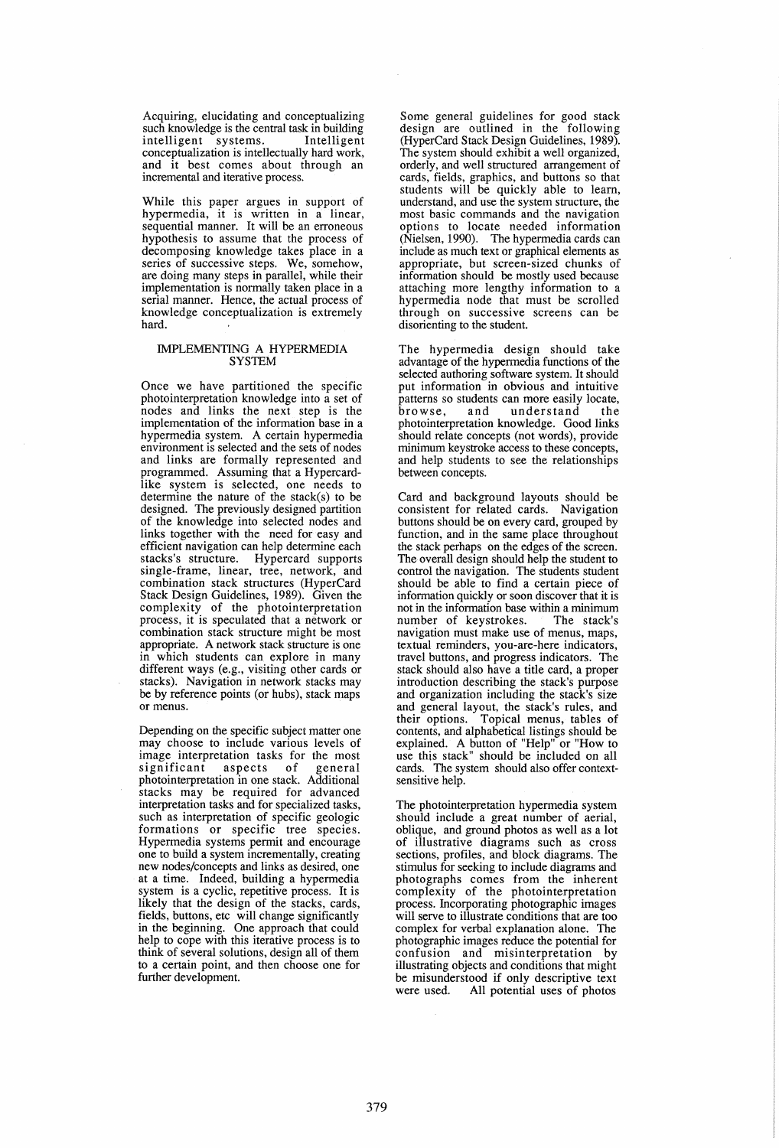Acquiring, elucidating and conceptualizing such knowledge is the central task in building<br>intelligent systems. Intelligent intelligent systems. conceptualization is intellectually hard work, and it best comes about through an incremental and iterative process.

While this paper argues in support of hypermedia, it is written in a linear, sequential manner. It will be an erroneous hypothesis to assume that the process of decomposing knowledge takes place in a series of successive steps. We, somehow, are doing many steps in parallel, while their implementation is normally taken place in a serial manner. Hence, the actual process of knowledge conceptualization is extremely hard.

#### IMPLEMENTING A HYPERMEDIA **SYSTEM**

Once we have partitioned the specific photointerpretation knowledge into a set of nodes and links the next step is the implementation of the information base in a hypermedia system. A certain hypermedia environment is selected and the sets of nodes and links are formally represented and programmed. Assuming that a Hypercardlike system is selected, one needs to determine the nature of the stack(s) to be designed. The previously designed partition of the knowledge into selected nodes and links together with the need for easy and efficient navigation can help determine each<br>stacks's structure. Hypercard supports Hypercard supports single-frame, linear, tree, network, and combination stack structures (HyperCard Stack Design Guidelines, 1989). Given the complexity of the photointerpretation process, it is speculated that a network or combination stack structure might be most appropriate. A network stack structure is one in which students can explore in many different ways (e.g., visiting other cards or stacks). Navigation in network stacks may be by reference points (or hubs), stack maps or menus.

Depending on the specific subject matter one may choose to include various levels of image interpretation tasks for the most<br>significant aspects of general significant aspects of photointerpretation in one stack. Additional stacks may be required for advanced interpretation tasks and for specialized tasks, such as interpretation of specific geologic formations or specific tree species. Hypermedia systems permit and encourage one to build a system incrementally, creating at a time. Indeed, building a hypermedia system is a cyclic, repetitive process. It is likely that the design of the stacks, cards, fields, buttons, etc will change significantly in the beginning. One approach that could help to cope with this iterative process is to think of several solutions, design all of them to a certain point, and then choose one for further development.

Some general guidelines for good stack design are outlined in the following (HyperCard Stack Design Guidelines, 1989). The system should exhibit a well organized, orderly, and well structured arrangement of cards, fields, graphics, and buttons so that students will be quickly able to learn, understand, and use the system structure, the most basic commands and the navigation options to locate needed information (Nielsen, 1990). The hypermedia cards can include as much text or graphical elements as appropriate, but screen-sized chunks of information should be mostly used because<br>attaching more lengthy information to a hypermedia node that must be scrolled through on successive screens can be disorienting to the student.

The hypermedia design should take advantage of the hypermedia functions of the selected authoring software system. It should put information in obvious and intuitive patterns so students can more easily locate,<br>browse, and understand the understand the photointerpretation knowledge. Good links should relate concepts (not words), provide minimum keystroke access to these concepts, and help students to see the relationships between concepts.

Card and background layouts should be consistent for related cards. Navigation buttons should be on every card, grouped by function, and in the same place throughout the stack perhaps on the edges of the screen. The overall design should help the student to control the navigation. The students student should be able to find a certain piece of information quickly or soon discover that it is not in the information base within a minimum<br>number of keystrokes. The stack's number of keystrokes. navigation must make use of menus, maps, textual reminders, you-are-here indicators, travel buttons, and progress indicators. The stack should also have a title card, a proper introduction describing the stack's purpose and organization including the stack's size and general layout, the stack's rules, and their options. Topical menus, tables of contents, and alphabetical listings should be explained. A button of "Help" or "How to use this stack" should be included on all cards. The system should also offer contextsensitive help.

The photointerpretation hypermedia system should include a great number of aerial, oblique, and ground photos as well as a lot of illustrative diagrams such as cross sections, profiles, and block diagrams. The stimulus for seeking to include diagrams and photographs comes from the inherent complexity of the photointerpretation process. Incorporating photographic images will serve to illustrate conditions that are too complex for verbal explanation alone. The photographic images reduce the potential for confusion and misinterpretation by illustrating objects and conditions that might be misunderstood if only descriptive text were used. All potential uses of photos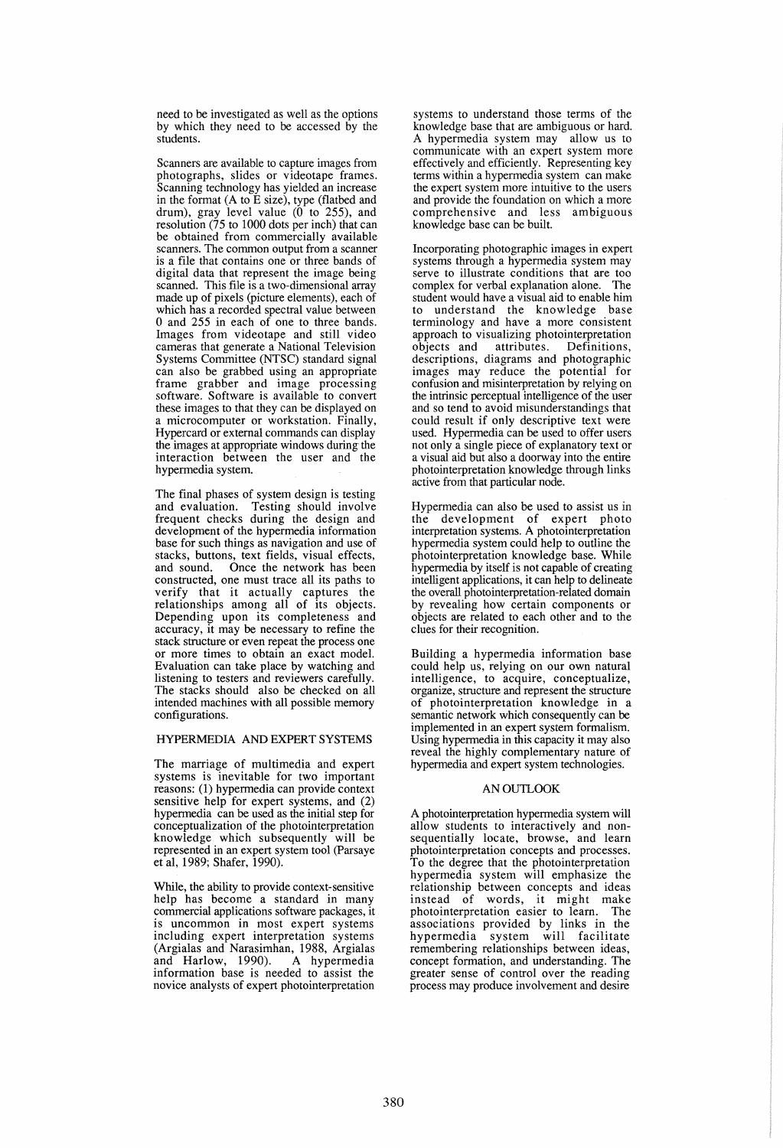need to be investigated as well as the options by which they need to be accessed by the students.

Scanners are available to capture images from photographs, slides or videotape frames. Scanning technology has yielded an increase in the format (A to E size), type (flatbed and drum), gray level value  $(0 \text{ to } 255)$ , and resolution (75 to 1000 dots per inch) that can be obtained from commercially available is a file that contains one or three bands of digital data that represent the image being scanned. This file is a two-dimensional array made up of pixels (picture elements), each of which has a recorded spectral value between o and 255 in each of one to three bands. Images from videotape and still video cameras that generate a National Television Systems Committee (NTSC) standard signal can also be grabbed using an appropriate frame grabber and image processing software. Software is available to convert these images to that they can be displayed on a microcomputer or workstation. Finally, Hypercard or external commands can display the images at appropriate windows during the interaction between the user and the hypermedia system.

The final phases of system design is testing and evaluation. Testing should involve frequent checks during the design and development of the hypermedia information base for such things as navigation and use of stacks, buttons, text fields, visual effects, Once the network has been constructed, one must trace all its paths to verify that it actually captures the relationships among all of its objects. Depending upon its completeness and accuracy, it may be necessary to refine the stack structure or even repeat the process one or more times to obtain an exact model. Evaluation can take place by watching and listening to testers and reviewers carefully. The stacks should also be checked on all intended machines with all possible memory configurations.

# HYPERMEDIA AND EXPERT SYSTEMS

The marriage of multimedia and expert systems is inevitable for two important reasons: (l) hypermedia can provide context sensitive help for expert systems, and (2) hypermedia can be used as the initial step for conceptualization of the photointerpretation knowledge which subsequently will be represented in an expert system tool (Parsaye et aI, 1989; Shafer, 1990).

While, the ability to provide context-sensitive help has become a standard in many commercial applications software packages, it is uncommon in most expert systems including expert interpretation systems (Argialas and Narasimhan, 1988, Argialas and Harlow, 1990). A hypermedia and Harlow, 1990). A hypermedia information base is needed to assist the novice analysts of expert photointerpretation

systems to understand those terms of the knowledge base that are ambiguous or hard. A hypermedia system may allow us to communicate with an expert system more effectively and efficiently. Representing key terms within a hypermedia system can make the expert system more intuitive to the users and provide the foundation on which a more comprehensive and less ambiguous knowledge base can be built.

Incorporating photographic images in expert systems through a hypermedia system may serve to illustrate conditions that are too complex for verbal explanation alone. The student would have a visual aid to enable him to understand the knowledge base terminology and have a more consistent approach to visualizing photointerpretation<br>objects and attributes. Definitions, objects and descriptions, diagrams and photographic images may reduce the potential for confusion and misinterpretation by relying on the intrinsic perceptual intelligence of the user and so tend to avoid misunderstandings that could result if only descriptive text were used. Hypermedia can be used to offer users not only a single piece of explanatory text or a visual aid but also a doorway into the entire photointerpretation knowledge through links active from that particular node.

Hypermedia can also be used to assist us in the development of expert photo interpretation systems. A photointerpretation hypermedia system could help to outline the photointerpretation knowledge base. While hypermedia by itself is not capable of creating intelligent applications, it can help to delineate the overall photointerpretation-related domain by revealing how certain components or objects are related to each other and to the clues for their recognition.

Building a hypermedia information base could help us, relying on our own natural intelligence, to acquire, conceptualize, organize, structure and represent the structure of photointerpretation knowledge in a semantic network which consequently can be implemented in an expert system formalism. Using hypermedia in this capacity it may also reveal the highly complementary nature of hypermedia and expert system technologies.

# **AN OUTLOOK**

A photointerpretation hypermedia system will allow students to interactively and nonsequentially locate, browse, and learn photointerpretation concepts and processes. To the degree that the photointerpretation hypermedia system will emphasize the relationship between concepts and ideas instead of words, it might make photo interpretation easier to learn. The associations provided by links in the hypermedia system will facilitate remembering relationships between ideas, concept formation, and understanding. The greater sense of control over the reading process may produce involvement and desire